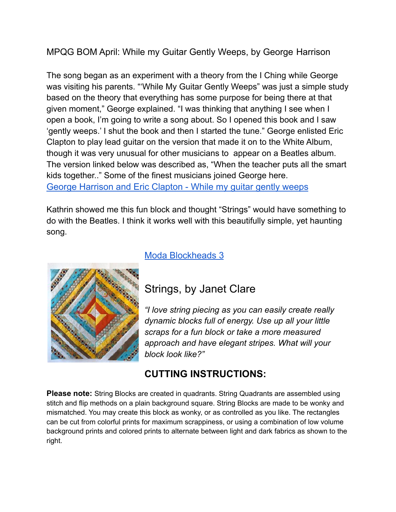### MPQG BOM April: While my Guitar Gently Weeps, by George Harrison

The song began as an experiment with a theory from the I Ching while George was visiting his parents. "'While My Guitar Gently Weeps" was just a simple study based on the theory that everything has some purpose for being there at that given moment," George explained. "I was thinking that anything I see when I open a book, I'm going to write a song about. So I opened this book and I saw 'gently weeps.' I shut the book and then I started the tune." George enlisted Eric Clapton to play lead guitar on the version that made it on to the White Album, though it was very unusual for other musicians to appear on a Beatles album. The version linked below was described as, "When the teacher puts all the smart kids together.." Some of the finest musicians joined George here. George [Harrison](https://www.youtube.com/watch?v=i8rVI7AMKiY) and Eric Clapton - While my guitar gently weeps

Kathrin showed me this fun block and thought "Strings" would have something to do with the Beatles. I think it works well with this beautifully simple, yet haunting song.



#### Moda [Blockheads](http://janetclare.co.uk/blog/?p=2808) 3

# Strings, by Janet Clare

*"I love string piecing as you can easily create really dynamic blocks full of energy. Use up all your little scraps for a fun block or take a more measured approach and have elegant stripes. What will your block look like?"*

## **CUTTING INSTRUCTIONS:**

**Please note:** String Blocks are created in quadrants. String Quadrants are assembled using stitch and flip methods on a plain background square. String Blocks are made to be wonky and mismatched. You may create this block as wonky, or as controlled as you like. The rectangles can be cut from colorful prints for maximum scrappiness, or using a combination of low volume background prints and colored prints to alternate between light and dark fabrics as shown to the right.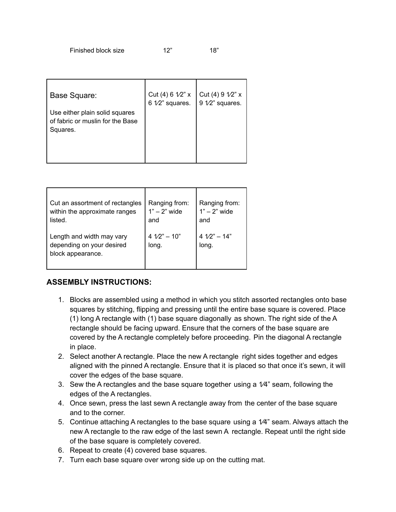| Base Square:<br>Use either plain solid squares<br>of fabric or muslin for the Base<br>Squares. | Cut (4) 6 $1/2$ " x<br>6 1/2" squares. | Cut (4) $9 \frac{1}{2}$ x<br>$912$ " squares. |
|------------------------------------------------------------------------------------------------|----------------------------------------|-----------------------------------------------|
|                                                                                                |                                        |                                               |

| Cut an assortment of rectangles<br>within the approximate ranges<br>listed. | Ranging from:<br>$1" - 2"$ wide<br>and | Ranging from:<br>$1" - 2"$ wide<br>and |
|-----------------------------------------------------------------------------|----------------------------------------|----------------------------------------|
| Length and width may vary<br>depending on your desired<br>block appearance. | $4\sqrt{2} - 10$ "<br>long.            | $41/2" - 14"$<br>long.                 |

#### **ASSEMBLY INSTRUCTIONS:**

- 1. Blocks are assembled using a method in which you stitch assorted rectangles onto base squares by stitching, flipping and pressing until the entire base square is covered. Place (1) long A rectangle with (1) base square diagonally as shown. The right side of the A rectangle should be facing upward. Ensure that the corners of the base square are covered by the A rectangle completely before proceeding. Pin the diagonal A rectangle in place.
- 2. Select another A rectangle. Place the new A rectangle right sides together and edges aligned with the pinned A rectangle. Ensure that it is placed so that once it's sewn, it will cover the edges of the base square.
- 3. Sew the A rectangles and the base square together using a 1⁄4" seam, following the edges of the A rectangles.
- 4. Once sewn, press the last sewn A rectangle away from the center of the base square and to the corner.
- 5. Continue attaching A rectangles to the base square using a  $1/4$ " seam. Always attach the new A rectangle to the raw edge of the last sewn A rectangle. Repeat until the right side of the base square is completely covered.
- 6. Repeat to create (4) covered base squares.
- 7. Turn each base square over wrong side up on the cutting mat.